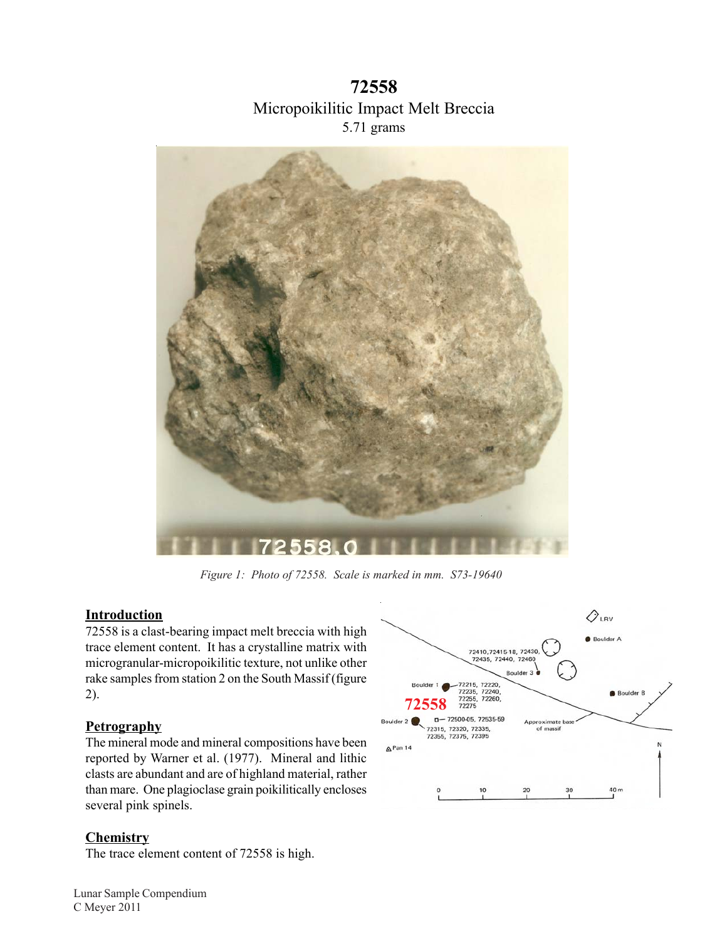**72558**  Micropoikilitic Impact Melt Breccia 5.71 grams



*Figure 1: Photo of 72558. Scale is marked in mm. S73-19640* 

## **Introduction**

72558 is a clast-bearing impact melt breccia with high trace element content. It has a crystalline matrix with microgranular-micropoikilitic texture, not unlike other rake samples from station 2 on the South Massif (figure 2).

## **Petrography**

The mineral mode and mineral compositions have been reported by Warner et al. (1977). Mineral and lithic clasts are abundant and are of highland material, rather than mare. One plagioclase grain poikilitically encloses several pink spinels.

## **Chemistry**

The trace element content of 72558 is high.

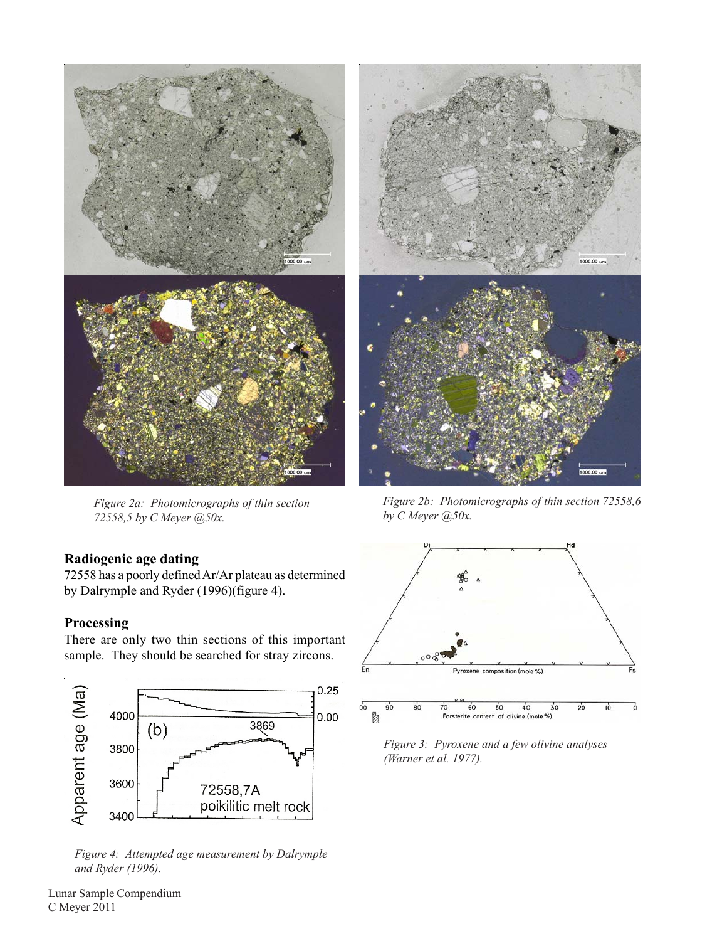

*72558,5 by C Meyer @50x. by C Meyer @50x.* 

## **Radiogenic age dating**

72558 has a poorly defined Ar/Ar plateau as determined by Dalrymple and Ryder (1996)(figure 4).

## **Processing**

There are only two thin sections of this important sample. They should be searched for stray zircons.



*Figure 4: Attempted age measurement by Dalrymple and Ryder (1996).* 



*Figure 2a: Photomicrographs of thin section Figure 2b: Photomicrographs of thin section 72558,6* 



*Figure 3: Pyroxene and a few olivine analyses (Warner et al. 1977).*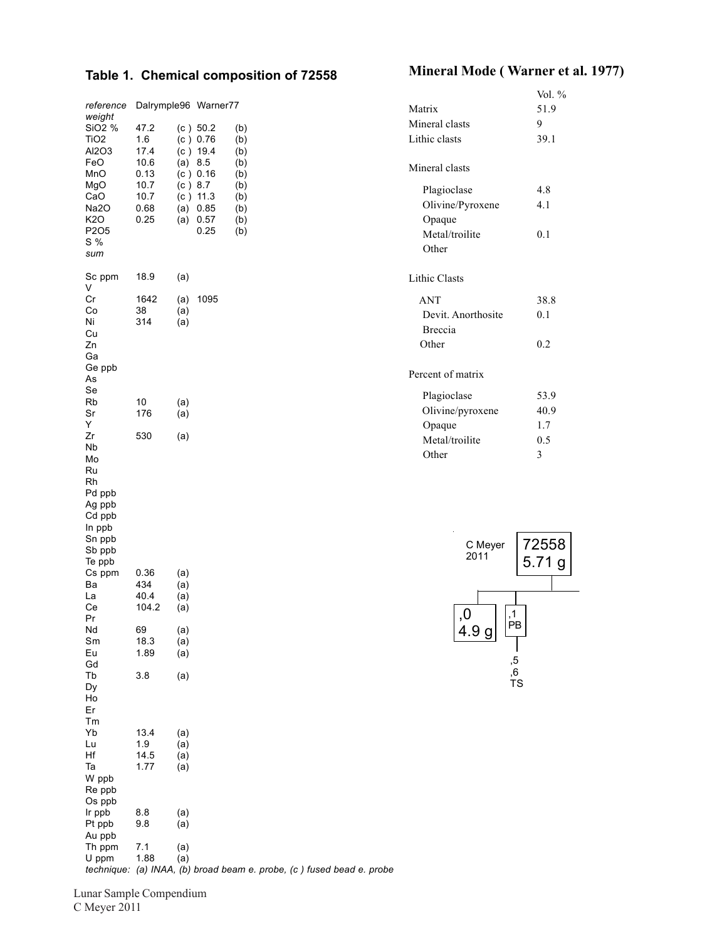# **Mineral Mode ( Warner et al. 1977) Table 1. Chemical composition of 72558**

| reference<br>weight<br>SiO <sub>2</sub> %<br>TiO <sub>2</sub><br>Al2O3<br>FeO<br>MnO<br>MgO<br>CaO<br>Na2O<br>K20<br>P <sub>2</sub> O <sub>5</sub><br>S %<br>sum | 47.2<br>1.6<br>17.4<br>10.6<br>0.13<br>10.7<br>10.7<br>0.68<br>0.25 | Dalrymple96 Warner77<br>(c) 50.2<br>(c) 0.76<br>(c) 19.4<br>(a) 8.5<br>(c) 0.16<br>(c) 8.7<br>$(c)$ 11.3<br>(a)<br>0.85<br>0.57<br>(a)<br>0.25 | (b)<br>(b)<br>(b)<br>(b)<br>(b)<br>(b)<br>(b)<br>(b)<br>(b)<br>(b) | Matrix<br>Mineral clasts<br>Lithic clasts<br>Mineral clasts<br>Plagioclase<br>Olivine/Pyroxene<br>Opaque<br>Metal/troilite<br>Other | Vol. %<br>51.9<br>9<br>39.1<br>4.8<br>4.1<br>0.1 |
|------------------------------------------------------------------------------------------------------------------------------------------------------------------|---------------------------------------------------------------------|------------------------------------------------------------------------------------------------------------------------------------------------|--------------------------------------------------------------------|-------------------------------------------------------------------------------------------------------------------------------------|--------------------------------------------------|
| Sc ppm<br>V                                                                                                                                                      | 18.9                                                                | (a)                                                                                                                                            |                                                                    | Lithic Clasts                                                                                                                       |                                                  |
| Cr<br>Co<br>Ni<br>Cu<br>Zn<br>Ga                                                                                                                                 | 1642<br>38<br>314                                                   | 1095<br>(a)<br>(a)<br>(a)                                                                                                                      |                                                                    | <b>ANT</b><br>Devit. Anorthosite<br>Breccia<br>Other                                                                                | 38.8<br>0.1<br>0.2                               |
| Ge ppb<br>As                                                                                                                                                     |                                                                     |                                                                                                                                                |                                                                    | Percent of matrix                                                                                                                   |                                                  |
| Se<br>Rb<br>Sr<br>Y                                                                                                                                              | 10<br>176                                                           | (a)<br>(a)                                                                                                                                     |                                                                    | Plagioclase<br>Olivine/pyroxene<br>Opaque                                                                                           | 53.9<br>40.9<br>1.7                              |
| Zr<br>Nb<br>Mo<br>Ru<br>Rh<br>Pd ppb<br>Ag ppb<br>Cd ppb<br>In ppb                                                                                               | 530                                                                 | (a)                                                                                                                                            |                                                                    | Metal/troilite<br>Other                                                                                                             | 0.5<br>3                                         |
| Sn ppb<br>Sb ppb<br>Te ppb<br>Cs ppm<br>Ba                                                                                                                       | 0.36<br>434                                                         | (a)<br>(a)                                                                                                                                     |                                                                    | C Meyer<br>2011                                                                                                                     | 72558<br>5.71 g                                  |
| La<br>Сe                                                                                                                                                         | 40.4<br>104.2                                                       | (a)<br>(a)                                                                                                                                     |                                                                    | ,0                                                                                                                                  | ,1                                               |
| Pr<br>Nd<br>Sm<br>Eu                                                                                                                                             | 69<br>18.3<br>1.89                                                  | (a)<br>(a)<br>(a)                                                                                                                              |                                                                    | 4.9 g                                                                                                                               | PB                                               |
| Gd<br>Tb<br>Dy<br>Ho<br>Er                                                                                                                                       | 3.8                                                                 | (a)                                                                                                                                            |                                                                    |                                                                                                                                     | ,5<br>,6<br>TS                                   |
| Tm<br>Yb<br>Lu<br>Hf<br>Ta<br>W ppb<br>Re ppb                                                                                                                    | 13.4<br>1.9<br>14.5<br>1.77                                         | (a)<br>(a)<br>(a)<br>(a)                                                                                                                       |                                                                    |                                                                                                                                     |                                                  |
| Os ppb<br>Ir ppb<br>Pt ppb<br>Au ppb                                                                                                                             | 8.8<br>9.8                                                          | (a)<br>(a)                                                                                                                                     |                                                                    |                                                                                                                                     |                                                  |
| Th ppm<br>U ppm                                                                                                                                                  | 7.1<br>1.88                                                         | (a)<br>(a)                                                                                                                                     |                                                                    |                                                                                                                                     |                                                  |

*technique: (a) INAA, (b) broad beam e. probe, (c ) fused bead e. probe* 

Lunar Sample Compendium C Meyer 2011